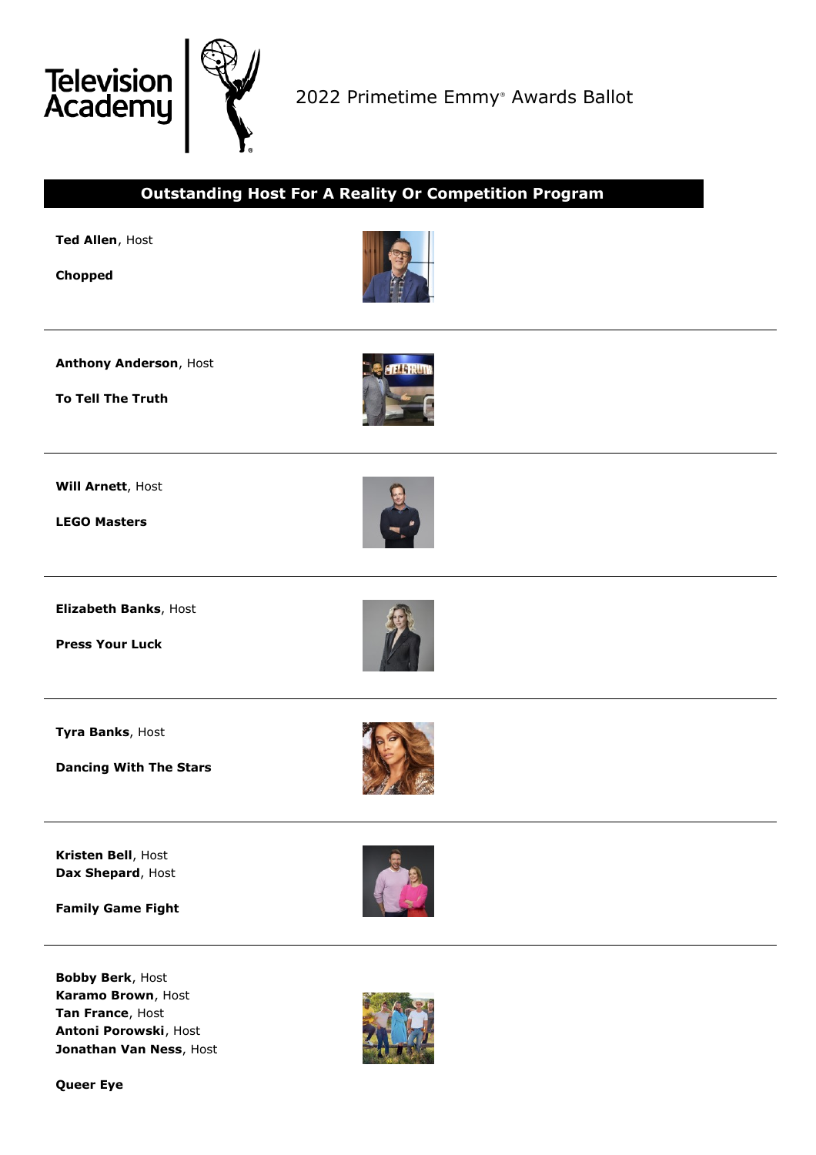

2022 Primetime Emmy ® Awards Ballot



**Queer Eye**

**Jonathan Van Ness**, Host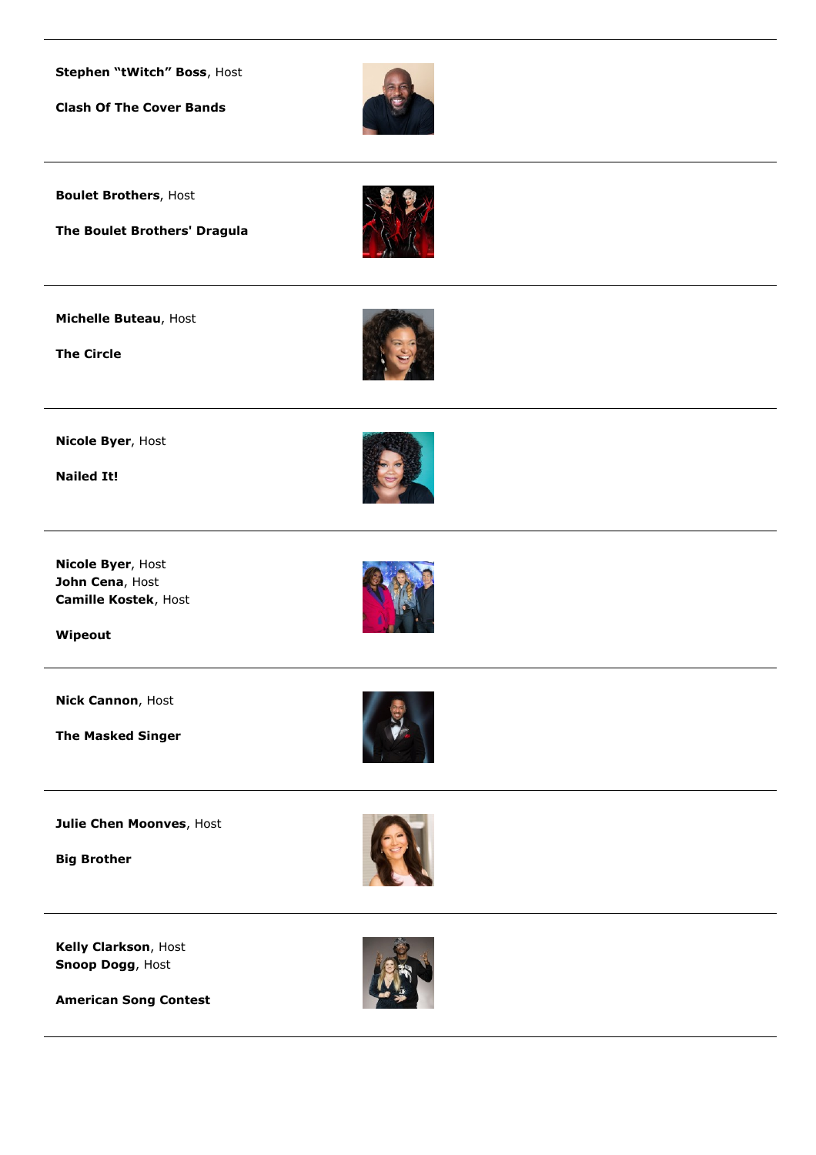**Stephen "tWitch" Boss**, Host

**Clash Of The Cover Bands**



**Boulet Brothers**, Host

**The Boulet Brothers' Dragula**



**Michelle Buteau**, Host

**The Circle**



**Nicole Byer**, Host

**Nailed It!**

**Nicole Byer**, Host **John Cena**, Host **Camille Kostek**, Host

**Wipeout**

**Nick Cannon**, Host

**The Masked Singer**





**Julie Chen Moonves**, Host

**Big Brother**



**Kelly Clarkson**, Host **Snoop Dogg**, Host



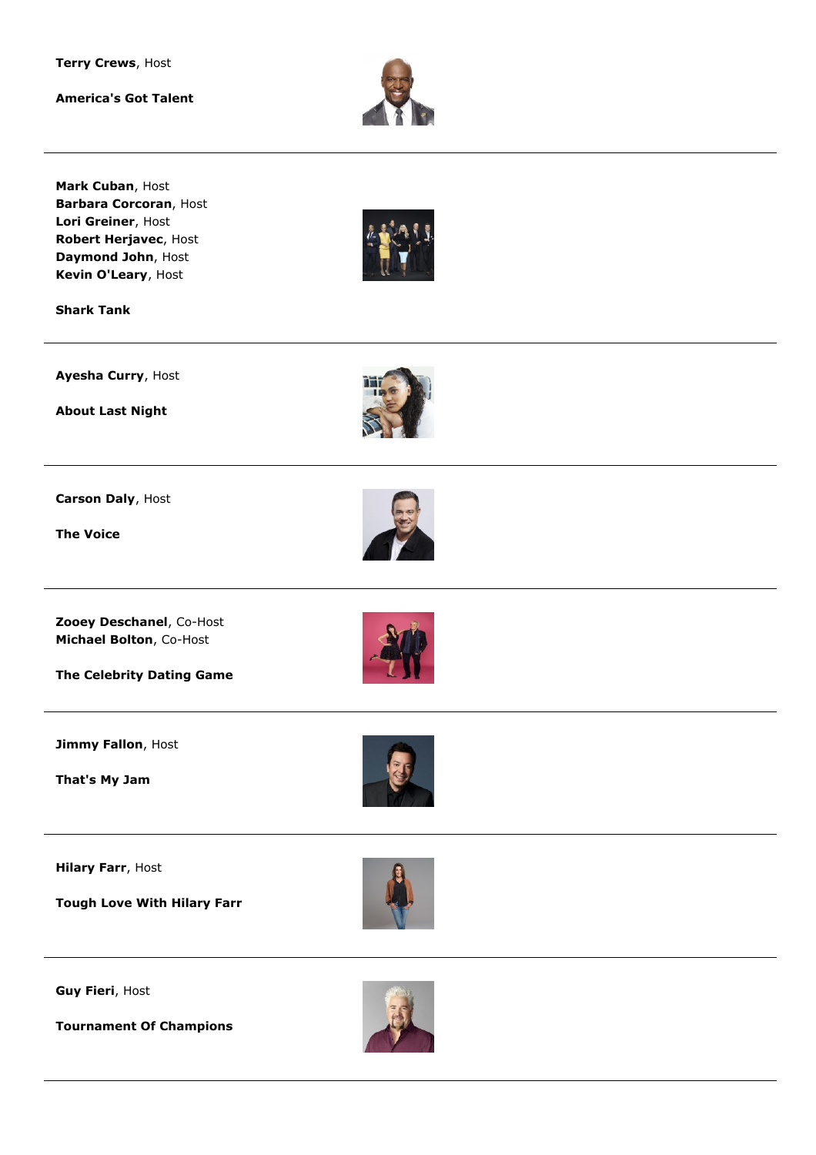**Terry Crews**, Host

**America's Got Talent**



**Mark Cuban**, Host **Barbara Corcoran**, Host **Lori Greiner**, Host **Robert Herjavec**, Host **Daymond John**, Host **Kevin O'Leary**, Host



**Shark Tank**

**Ayesha Curry**, Host

**About Last Night**



**Carson Daly**, Host

**The Voice**

**Zooey Deschanel**, Co-Host **Michael Bolton**, Co-Host

**The Celebrity Dating Game**

**Jimmy Fallon**, Host

**That's My Jam**

**Hilary Farr**, Host

**Tough Love With Hilary Farr**



**Guy Fieri**, Host

**Tournament Of Champions**

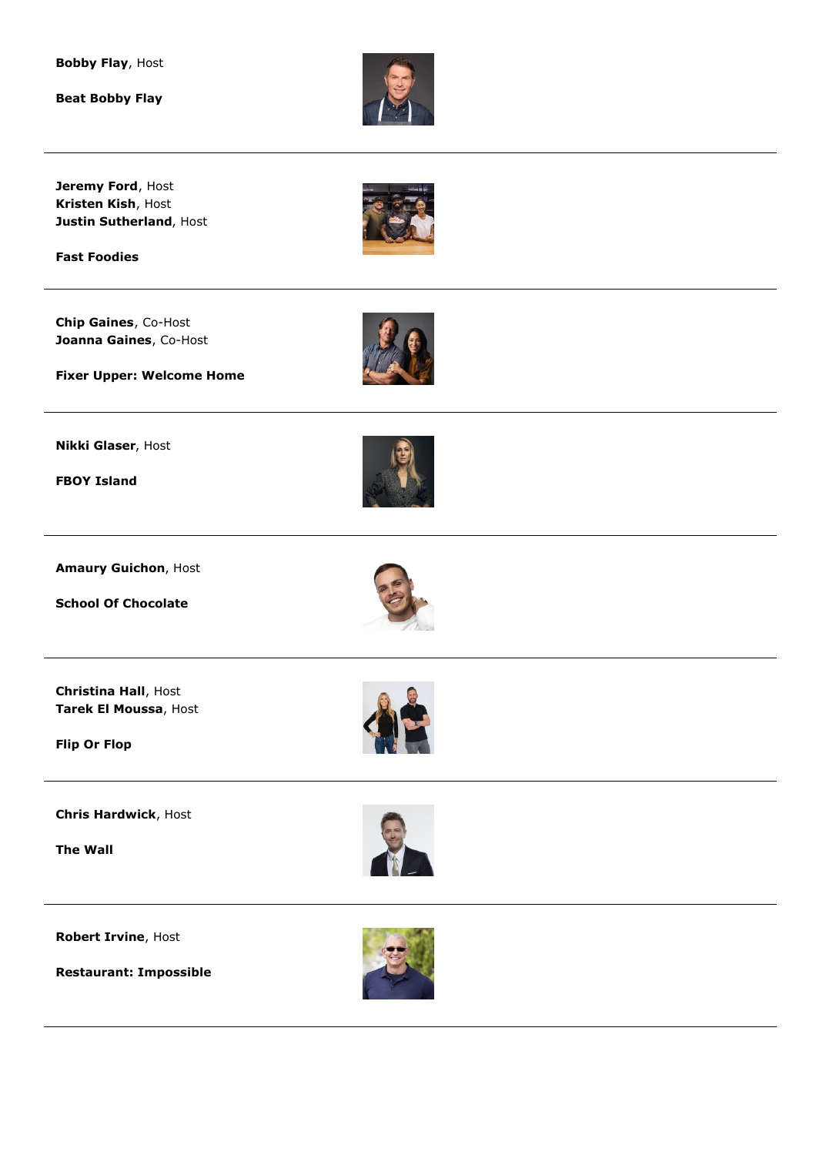**Bobby Flay**, Host

**Beat Bobby Flay**



**Jeremy Ford**, Host **Kristen Kish**, Host **Justin Sutherland**, Host

**Fast Foodies**

**Chip Gaines**, Co-Host **Joanna Gaines**, Co-Host



**Fixer Upper: Welcome Home**

**Nikki Glaser**, Host

**FBOY Island**



**Amaury Guichon**, Host

**School Of Chocolate**



**Christina Hall**, Host **Tarek El Moussa**, Host

**Flip Or Flop**

**Chris Hardwick**, Host

**The Wall**



**Robert Irvine**, Host

**Restaurant: Impossible**

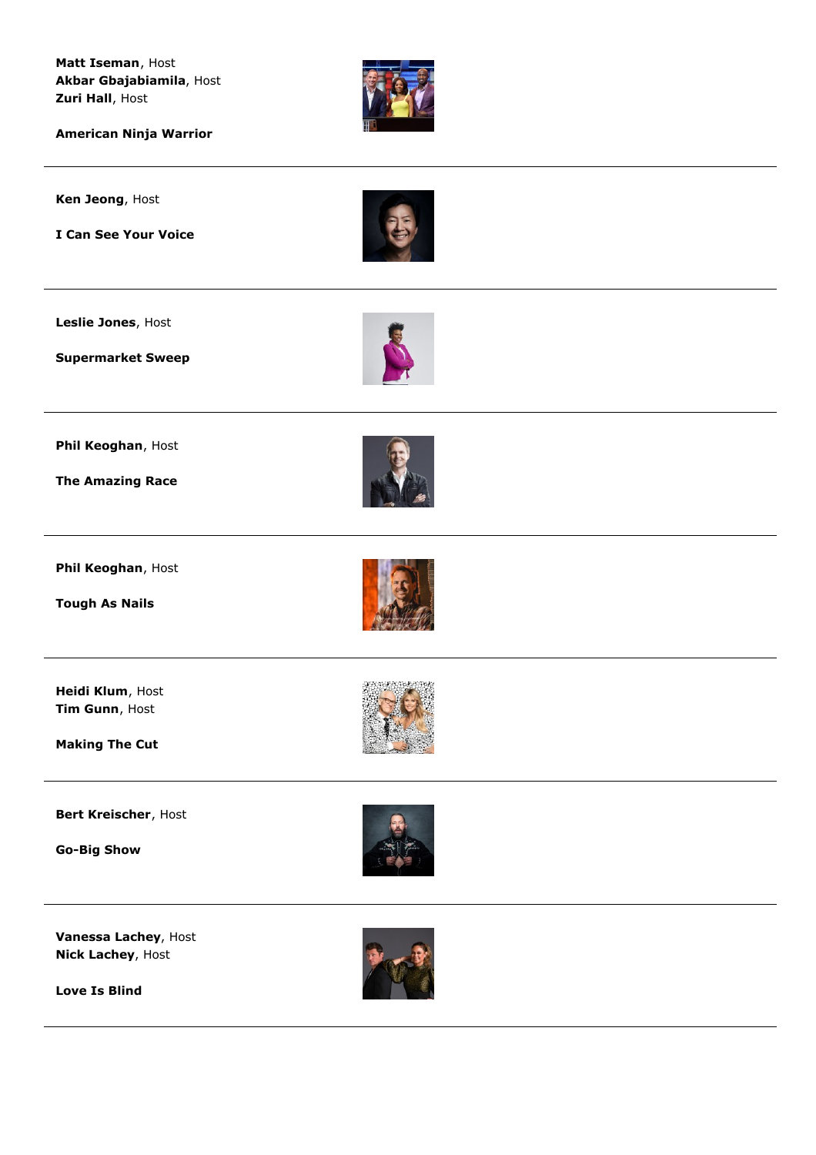**Matt Iseman**, Host **Akbar Gbajabiamila**, Host **Zuri Hall**, Host



**American Ninja Warrior**

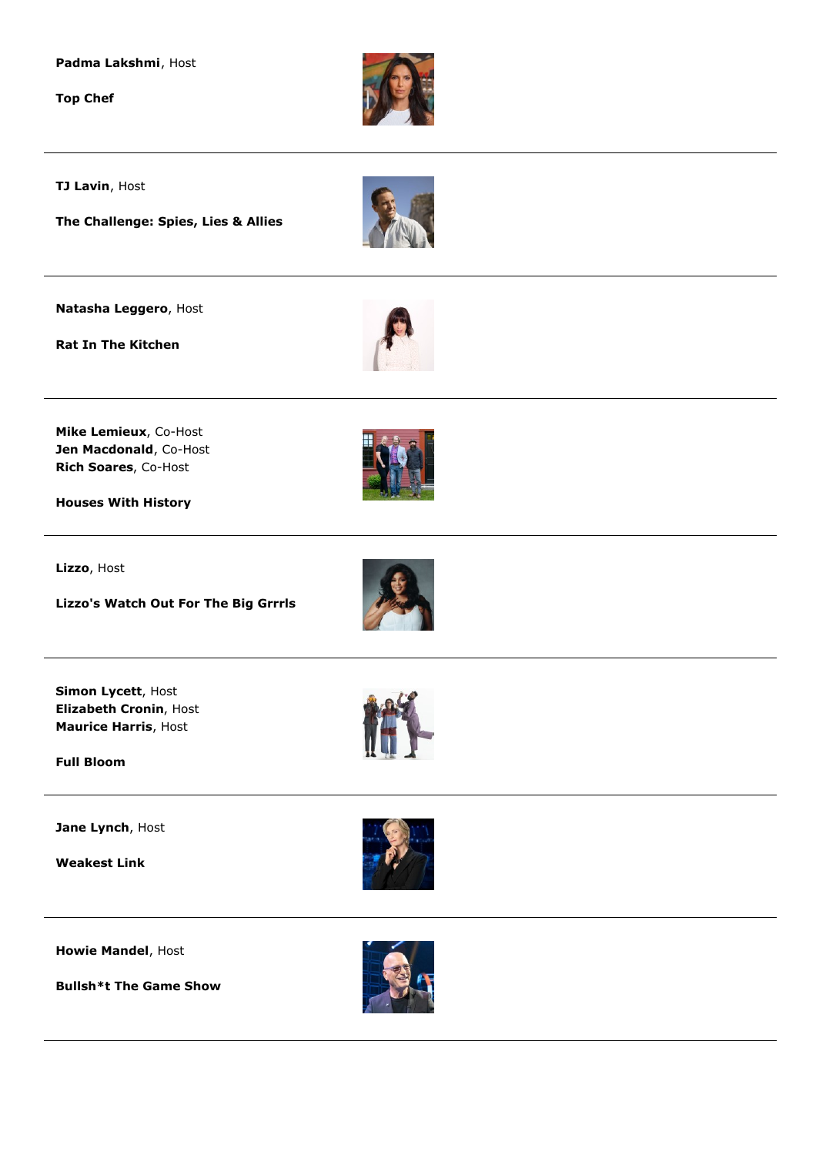**Padma Lakshmi**, Host

**Top Chef**



**TJ Lavin**, Host

**The Challenge: Spies, Lies & Allies**

**Natasha Leggero**, Host

**Rat In The Kitchen**



**Mike Lemieux**, Co-Host **Jen Macdonald**, Co-Host **Rich Soares**, Co-Host

**Houses With History**

**Lizzo**, Host

**Lizzo's Watch Out For The Big Grrrls**





**Simon Lycett**, Host **Elizabeth Cronin**, Host **Maurice Harris**, Host

**Full Bloom**

**Jane Lynch**, Host

**Weakest Link**



**Howie Mandel**, Host

**Bullsh\*t The Game Show**

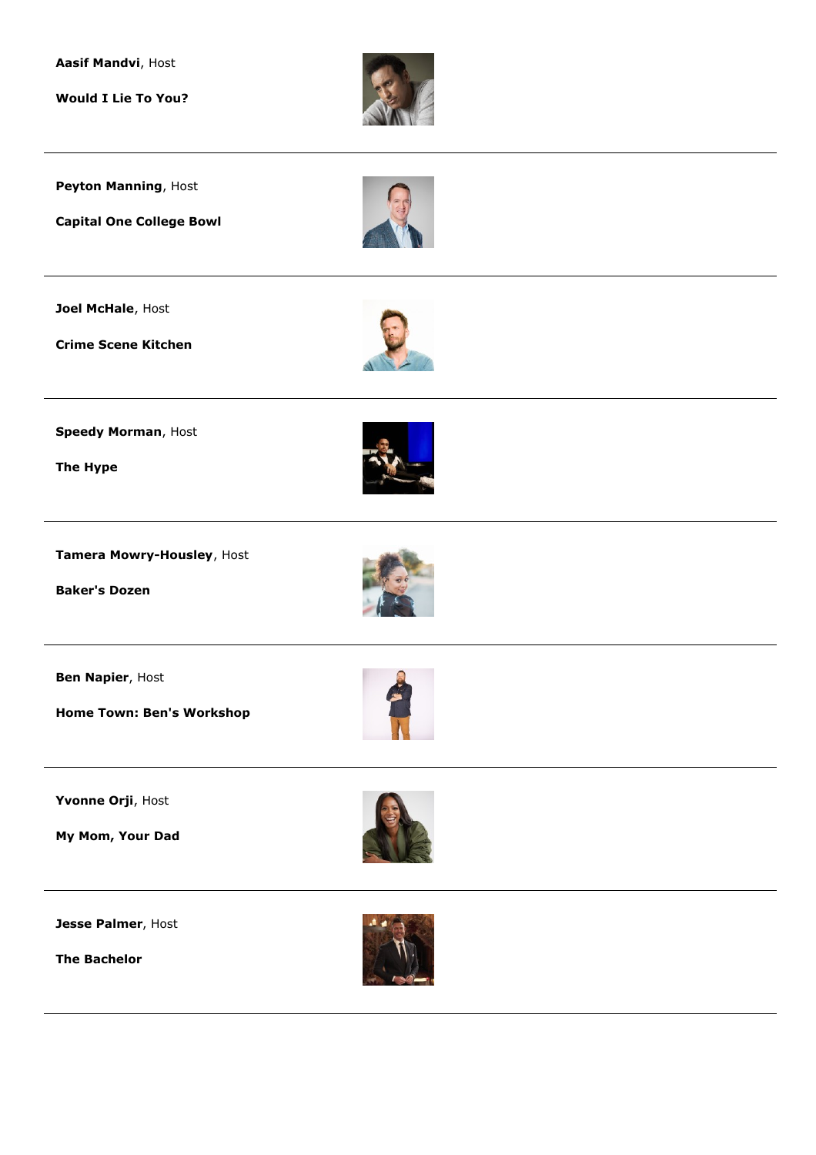**Aasif Mandvi**, Host

**Would I Lie To You?**



**Peyton Manning**, Host

**Capital One College Bowl**

**Joel McHale**, Host

**Crime Scene Kitchen**



**Speedy Morman**, Host

**The Hype**



**Tamera Mowry-Housley**, Host

**Baker's Dozen**



**Ben Napier**, Host

**Home Town: Ben's Workshop**



**My Mom, Your Dad**



**Jesse Palmer**, Host

**The Bachelor**

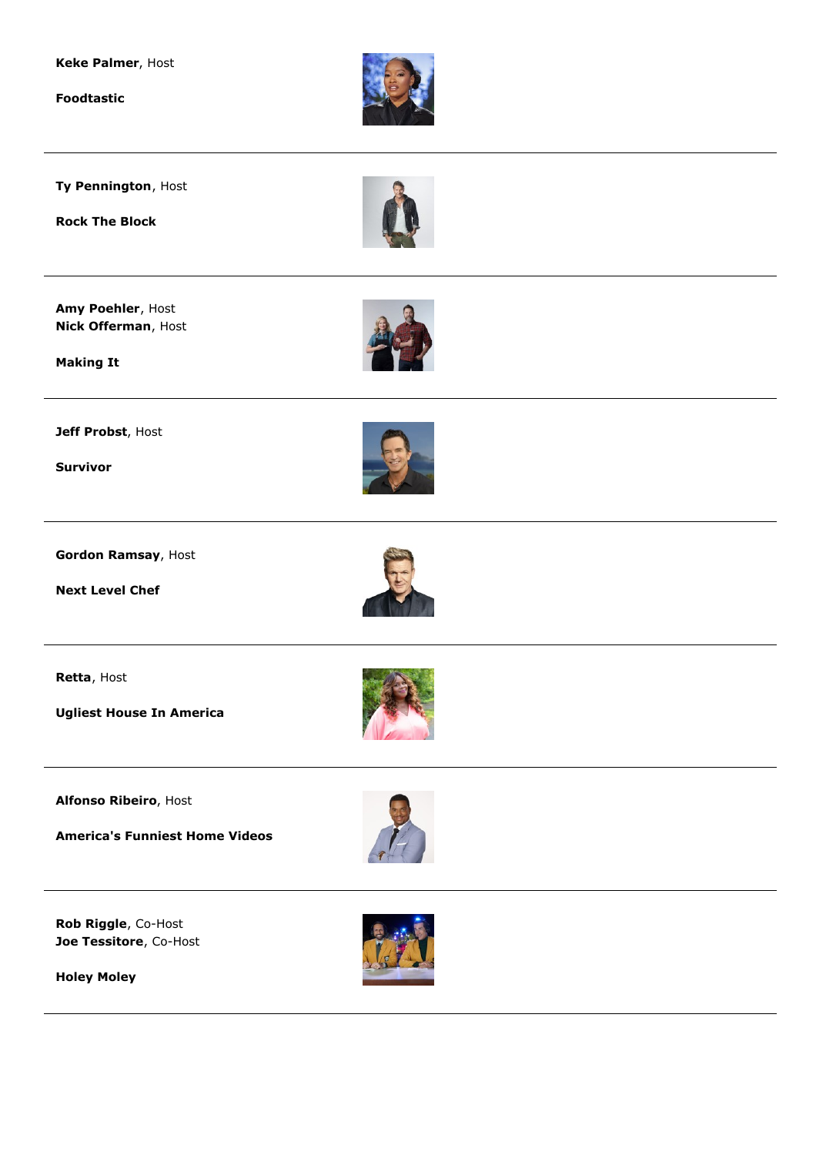

**Foodtastic**



**Ty Pennington**, Host

**Rock The Block**

**Amy Poehler**, Host **Nick Offerman**, Host



**Making It**

**Jeff Probst**, Host

**Survivor**



**Gordon Ramsay**, Host

**Next Level Chef**



**Retta**, Host

**Ugliest House In America**



**Alfonso Ribeiro**, Host

**America's Funniest Home Videos**



**Rob Riggle**, Co-Host **Joe Tessitore**, Co-Host



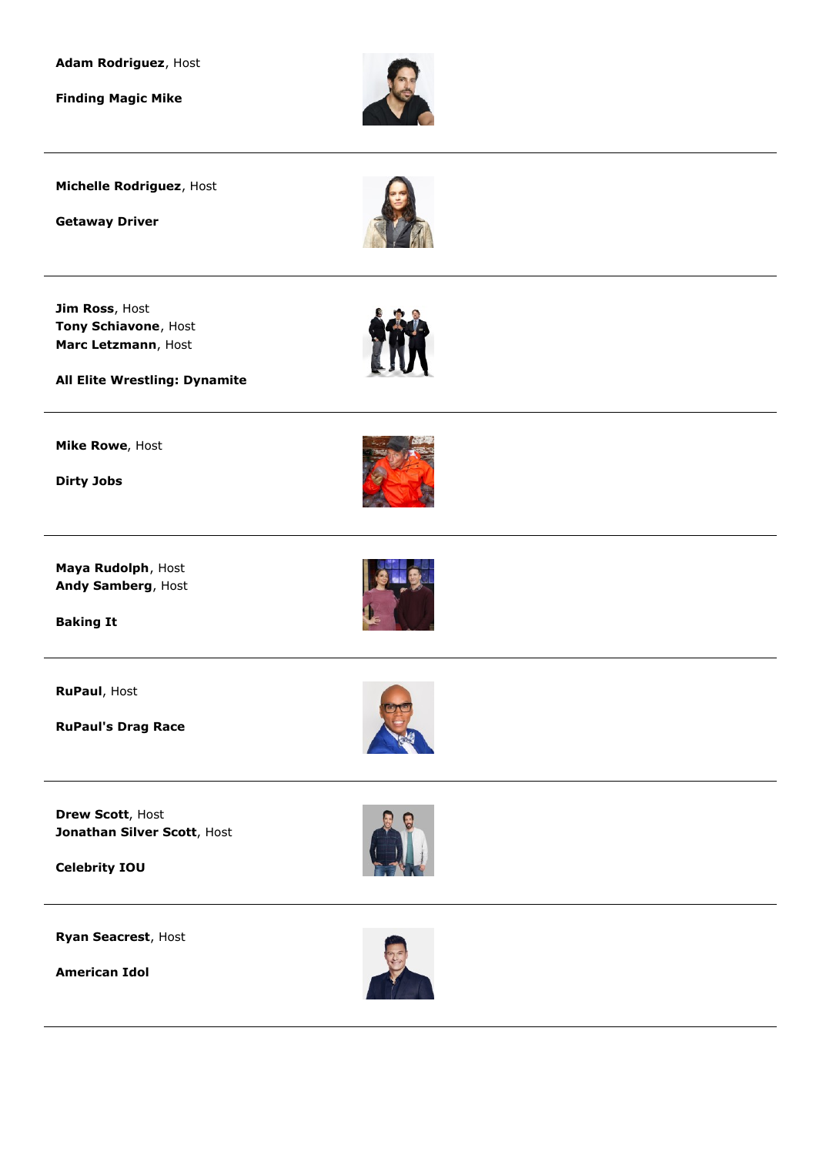**Adam Rodriguez**, Host

**Finding Magic Mike**



**Michelle Rodriguez**, Host

**Getaway Driver**



**Jim Ross**, Host **Tony Schiavone**, Host **Marc Letzmann**, Host



**All Elite Wrestling: Dynamite**

**Mike Rowe**, Host

**Dirty Jobs**



**Maya Rudolph**, Host **Andy Samberg**, Host

**Baking It**

**RuPaul**, Host

**RuPaul's Drag Race**





**Drew Scott**, Host **Jonathan Silver Scott**, Host

**Celebrity IOU**

**Ryan Seacrest**, Host

**American Idol**



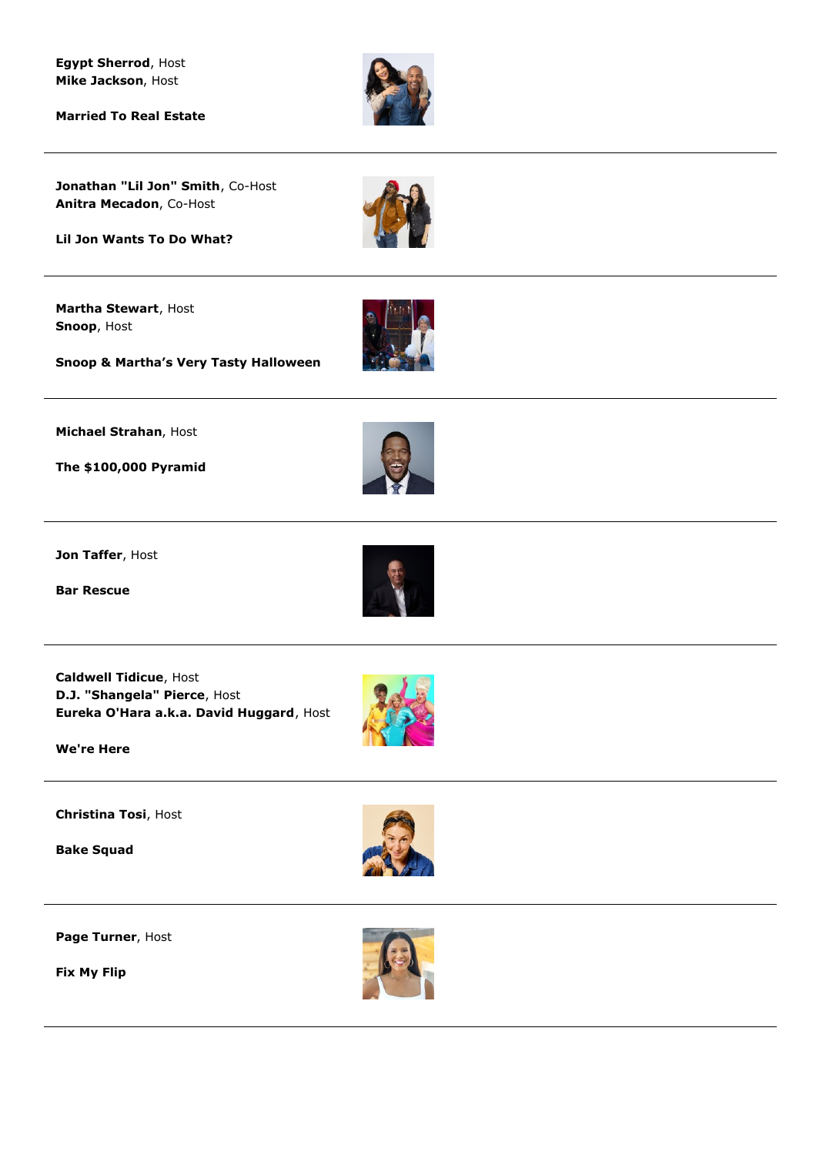**Egypt Sherrod**, Host **Mike Jackson**, Host

**Married To Real Estate**



**Jonathan "Lil Jon" Smith**, Co-Host **Anitra Mecadon**, Co-Host



**Martha Stewart**, Host **Snoop**, Host



**Snoop & Martha's Very Tasty Halloween**

**Michael Strahan**, Host

**The \$100,000 Pyramid**



**Jon Taffer**, Host

**Bar Rescue**



**Caldwell Tidicue**, Host **D.J. "Shangela" Pierce**, Host **Eureka O'Hara a.k.a. David Huggard**, Host



**Christina Tosi**, Host

**Bake Squad**



**Page Turner**, Host

**Fix My Flip**